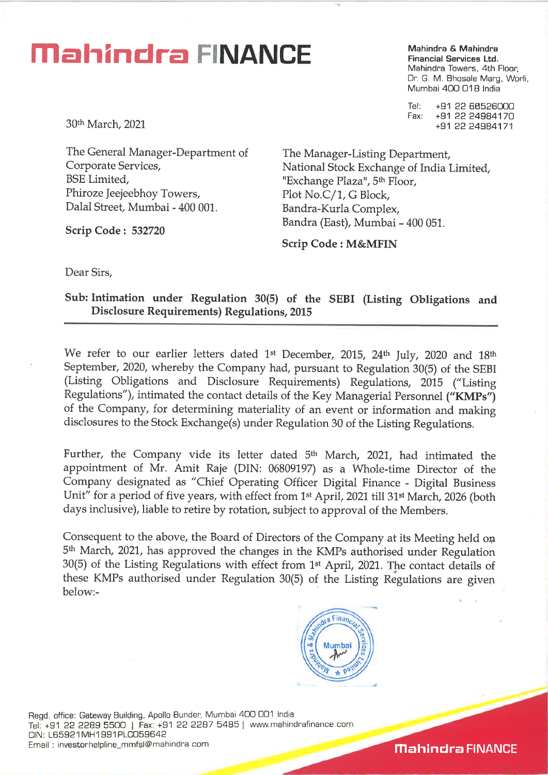## **Mahindra FINANCE**

**Mahindra & Mahindra Financial Services Ltd.**  Mahindra Towers, 4th Floor, Dr. G. M. Bhosale Marg, Worli, Mumbai 400 018 India

Tel: +91 22 66526000 Fax: +91 22 24984170 +91 22 24984171

30th March, 2021

The General Manager-Department of Corporate Services, BSE Limited, Phiroze Jeejeebhoy Towers, Dalal Street, Mumbai - 400 001.

**Scrip Code : 532720** 

The Manager-Listing Department, National Stock Exchange of India Limited, "Exchange Plaza", 5<sup>th</sup> Floor, Plot No.C/1, G Block, Bandra-Kurla Complex, Bandra (East), Mumbai - 400 051

**Scrip Code : M&MFIN** 

Dear Sirs,

**Sub: Intimation under Regulation 30(5) of the SEBI (Listing Obligations and Disclosure Requirements) Regulations, 2015** 

We refer to our earlier letters dated 1st December, 2015, 24th July, 2020 and 18th September, 2020, whereby the Company had, pursuant to Regulation 30(5) of the SEBI (Listing Obligations and Disclosure Requirements) Regulations, 2015 ("Listing Regulations"), intimated the contact details of the Key Managerial Personnel **("KMPs")**  of the Company, for determining materiality of an event or information and making disclosures to the Stock Exchange(s) under Regulation 30 of the Listing Regulations.

Further, the Company vide its letter dated 5<sup>th</sup> March, 2021, had intimated the appointment of Mr. Amit Raje (DIN: 06809197) as a Whole-time Director of the Company designated as "Chief Operating Officer Digital Finance - Digital Business Unit" for a period of five years, with effect from 1<sup>st</sup> April, 2021 till 31<sup>st</sup> March, 2026 (both days inclusive), liable to retire by rotation, subject to approval of the Members.

Consequent to the above, the Board of Directors of the Company at its Meeting held op 5th March, 2021, has approved the changes in the KMPs authorised under Regulation 30(5) of the Listing Regulations with effect from 1st April, 2021. The contact details of these KMPs authorised under Regulation 30(5) of the Listing Regulations are given below:-



Regd. office: Gateway Building, Apollo Bunder, Mumbai 400 001 India Tel: +91 22 2289 5500 I Fax: +91 22 2287 5485 I www.mahindrafinance.com CIN: L65921MH1991PLC059642 Email : investorhelpline\_mmfsl@mahindra corn

**Mahindra FINANCE**